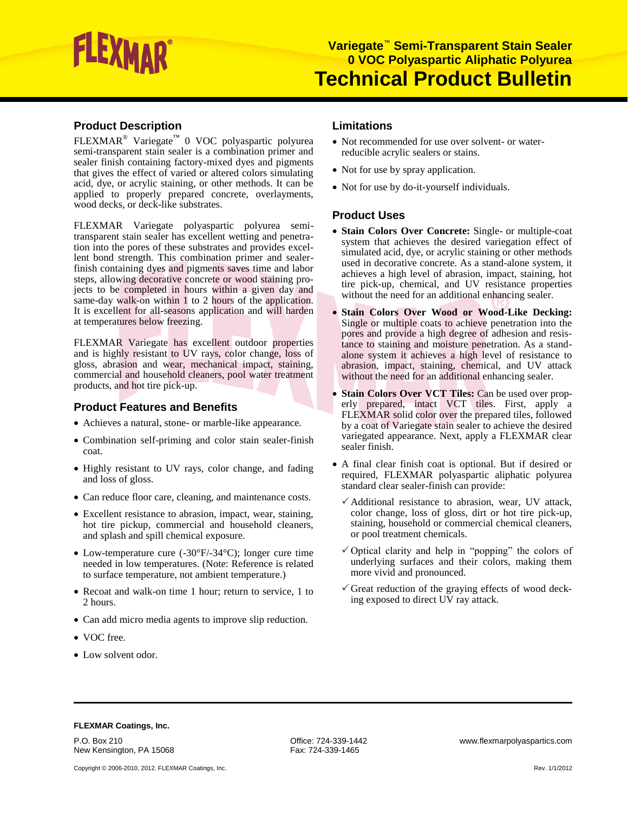# LEXMAR

# **Product Description**

FLEXMAR® Variegate™ 0 VOC polyaspartic polyurea semi-transparent stain sealer is a combination primer and sealer finish containing factory-mixed dyes and pigments that gives the effect of varied or altered colors simulating acid, dye, or acrylic staining, or other methods. It can be applied to properly prepared concrete, overlayments, wood decks, or deck-like substrates.

FLEXMAR Variegate polyaspartic polyurea semitransparent stain sealer has excellent wetting and penetration into the pores of these substrates and provides excellent bond strength. This combination primer and sealerfinish containing dyes and pigments saves time and labor steps, allowing decorative concrete or wood staining projects to be completed in hours within a given day and same-day walk-on within 1 to 2 hours of the application. It is excellent for all-seasons application and will harden at temperatures below freezing.

FLEXMAR Variegate has excellent outdoor properties and is highly resistant to UV rays, color change, loss of gloss, abrasion and wear, mechanical impact, staining, commercial and household cleaners, pool water treatment products, and hot tire pick-up.

## **Product Features and Benefits**

- Achieves a natural, stone- or marble-like appearance.
- Combination self-priming and color stain sealer-finish coat.
- Highly resistant to UV rays, color change, and fading and loss of gloss.
- Can reduce floor care, cleaning, and maintenance costs.
- Excellent resistance to abrasion, impact, wear, staining, hot tire pickup, commercial and household cleaners, and splash and spill chemical exposure.
- Low-temperature cure (-30°F/-34°C); longer cure time needed in low temperatures. (Note: Reference is related to surface temperature, not ambient temperature.)
- Recoat and walk-on time 1 hour; return to service, 1 to 2 hours.
- Can add micro media agents to improve slip reduction.
- VOC free.
- Low solvent odor.

# **Limitations**

- Not recommended for use over solvent- or waterreducible acrylic sealers or stains.
- Not for use by spray application.
- Not for use by do-it-yourself individuals.

## **Product Uses**

- **Stain Colors Over Concrete:** Single- or multiple-coat system that achieves the desired variegation effect of simulated acid, dye, or acrylic staining or other methods used in decorative concrete. As a stand-alone system, it achieves a high level of abrasion, impact, staining, hot tire pick-up, chemical, and UV resistance properties without the need for an additional enhancing sealer.
- **Stain Colors Over Wood or Wood-Like Decking:** Single or multiple coats to achieve penetration into the pores and provide a high degree of adhesion and resistance to staining and moisture penetration. As a standalone system it achieves a high level of resistance to abrasion, impact, staining, chemical, and UV attack without the need for an additional enhancing sealer.
- **Stain Colors Over VCT Tiles:** Can be used over properly prepared, intact VCT tiles. First, apply a FLEXMAR solid color over the prepared tiles, followed by a coat of Variegate stain sealer to achieve the desired variegated appearance. Next, apply a FLEXMAR clear sealer finish.
- A final clear finish coat is optional. But if desired or required, FLEXMAR polyaspartic aliphatic polyurea standard clear sealer-finish can provide:
	- $\checkmark$  Additional resistance to abrasion, wear, UV attack, color change, loss of gloss, dirt or hot tire pick-up, staining, household or commercial chemical cleaners, or pool treatment chemicals.
	- $\checkmark$  Optical clarity and help in "popping" the colors of underlying surfaces and their colors, making them more vivid and pronounced.
	- $\checkmark$  Great reduction of the graying effects of wood decking exposed to direct UV ray attack.

#### **FLEXMAR Coatings, Inc.**

P.O. Box 210<br>
New Kensington, PA 15068 The Contract of Case of Fax: 724-339-1465<br>
Fax: 724-339-1465 New Kensington, PA 15068

Copyright © 2006-2010, 2012. FLEXMAR Coatings, Inc. Compared to the control of the control of the control of the control of the control of the control of the control of the control of the control of the control of the cont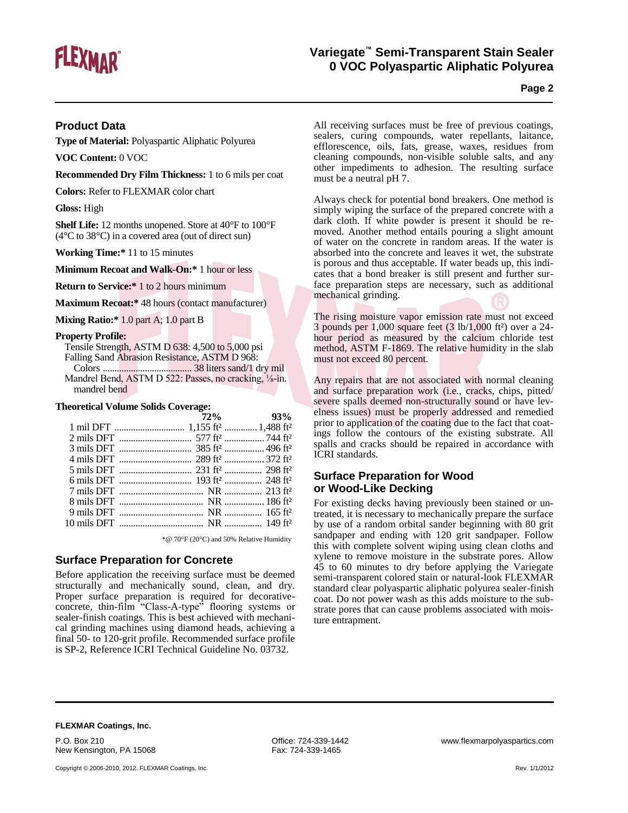

# **Variegate™ Semi-Transparent Stain Sealer 0 VOC Polyaspartic Aliphatic Polyurea**

**Page 2**

## **Product Data**

**Type of Material:** Polyaspartic Aliphatic Polyurea

**VOC Content:** 0 VOC

**Recommended Dry Film Thickness:** 1 to 6 mils per coat

**Colors:** Refer to FLEXMAR color chart

**Gloss:** High

**Shelf Life:** 12 months unopened. Store at 40°F to 100°F (4°C to 38°C) in a covered area (out of direct sun)

**Working Time:\*** 11 to 15 minutes

**Minimum Recoat and Walk-On:\*** 1 hour or less

**Return to Service:\*** 1 to 2 hours minimum

**Maximum Recoat:\*** 48 hours (contact manufacturer)

**Mixing Ratio:\*** 1.0 part A; 1.0 part B

#### **Property Profile:**

Tensile Strength, ASTM D 638: 4,500 to 5,000 psi Falling Sand Abrasion Resistance, ASTM D 968: Colors ...................................... 38 liters sand/1 dry mil Mandrel Bend, ASTM D 522: Passes, no cracking, 1/8-in. mandrel bend

#### **Theoretical Volume Solids Coverage:**

|  | $72\%$ 93% |
|--|------------|
|  |            |
|  |            |
|  |            |
|  |            |
|  |            |
|  |            |
|  |            |
|  |            |
|  |            |
|  |            |
|  |            |

\*@ 70°F (20°C) and 50% Relative Humidity

## **Surface Preparation for Concrete**

Before application the receiving surface must be deemed structurally and mechanically sound, clean, and dry. Proper surface preparation is required for decorativeconcrete, thin-film "Class-A-type" flooring systems or sealer-finish coatings. This is best achieved with mechanical grinding machines using diamond heads, achieving a final 50- to 120-grit profile. Recommended surface profile is SP-2, Reference ICRI Technical Guideline No. 03732.

All receiving surfaces must be free of previous coatings, sealers, curing compounds, water repellants, laitance, efflorescence, oils, fats, grease, waxes, residues from cleaning compounds, non-visible soluble salts, and any other impediments to adhesion. The resulting surface must be a neutral pH 7.

Always check for potential bond breakers. One method is simply wiping the surface of the prepared concrete with a dark cloth. If white powder is present it should be removed. Another method entails pouring a slight amount of water on the concrete in random areas. If the water is absorbed into the concrete and leaves it wet, the substrate is porous and thus acceptable. If water beads up, this indicates that a bond breaker is still present and further surface preparation steps are necessary, such as additional mechanical grinding.

The rising moisture vapor emission rate must not exceed 3 pounds per 1,000 square feet (3 lb/1,000 ft²) over a 24 hour period as measured by the calcium chloride test method, ASTM F-1869. The relative humidity in the slab must not exceed 80 percent.

Any repairs that are not associated with normal cleaning and surface preparation work (i.e., cracks, chips, pitted/ severe spalls deemed non-structurally sound or have levelness issues) must be properly addressed and remedied prior to application of the coating due to the fact that coatings follow the contours of the existing substrate. All spalls and cracks should be repaired in accordance with ICRI standards.

## **Surface Preparation for Wood or Wood-Like Decking**

For existing decks having previously been stained or untreated, it is necessary to mechanically prepare the surface by use of a random orbital sander beginning with 80 grit sandpaper and ending with 120 grit sandpaper. Follow this with complete solvent wiping using clean cloths and xylene to remove moisture in the substrate pores. Allow 45 to 60 minutes to dry before applying the Variegate semi-transparent colored stain or natural-look FLEXMAR standard clear polyaspartic aliphatic polyurea sealer-finish coat. Do not power wash as this adds moisture to the substrate pores that can cause problems associated with moisture entrapment.

#### **FLEXMAR Coatings, Inc.**

P.O. Box 210<br>
New Kensington, PA 15068 The South Control of Fax: 724-339-1465<br>
Fax: 724-339-1465 New Kensington, PA 15068

Copyright © 2006-2010, 2012. FLEXMAR Coatings, Inc. Compared to the control of the control of the control of the control of the control of the control of the control of the control of the control of the control of the cont